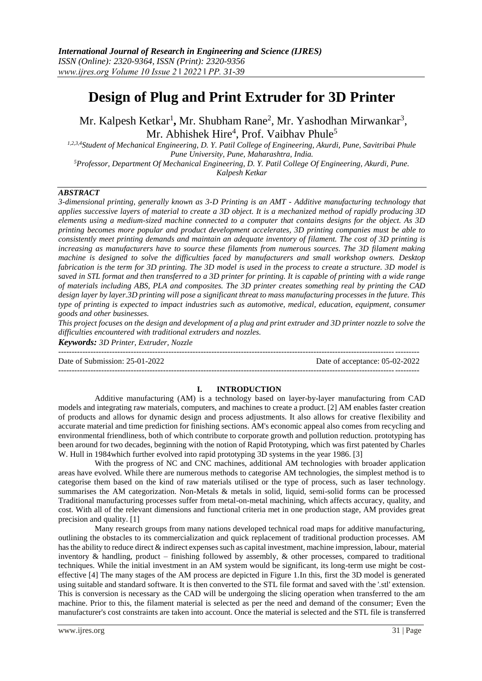# **Design of Plug and Print Extruder for 3D Printer**

Mr. Kalpesh Ketkar<sup>1</sup>, Mr. Shubham Rane<sup>2</sup>, Mr. Yashodhan Mirwankar<sup>3</sup>, Mr. Abhishek Hire<sup>4</sup>, Prof. Vaibhav Phule<sup>5</sup>

*1,2,3,4Student of Mechanical Engineering, D. Y. Patil College of Engineering, Akurdi, Pune, Savitribai Phule Pune University, Pune, Maharashtra, India. <sup>5</sup>Professor, Department Of Mechanical Engineering, D. Y. Patil College Of Engineering, Akurdi, Pune.*

*Kalpesh Ketkar*

#### *ABSTRACT*

*3-dimensional printing, generally known as 3-D Printing is an AMT - Additive manufacturing technology that applies successive layers of material to create a 3D object. It is a mechanized method of rapidly producing 3D elements using a medium-sized machine connected to a computer that contains designs for the object. As 3D printing becomes more popular and product development accelerates, 3D printing companies must be able to consistently meet printing demands and maintain an adequate inventory of filament. The cost of 3D printing is increasing as manufacturers have to source these filaments from numerous sources. The 3D filament making machine is designed to solve the difficulties faced by manufacturers and small workshop owners. Desktop fabrication is the term for 3D printing. The 3D model is used in the process to create a structure. 3D model is saved in STL format and then transferred to a 3D printer for printing. It is capable of printing with a wide range of materials including ABS, PLA and composites. The 3D printer creates something real by printing the CAD design layer by layer.3D printing will pose a significant threat to mass manufacturing processes in the future. This type of printing is expected to impact industries such as automotive, medical, education, equipment, consumer goods and other businesses.* 

*This project focuses on the design and development of a plug and print extruder and 3D printer nozzle to solve the difficulties encountered with traditional extruders and nozzles.*

*Keywords: 3D Printer, Extruder, Nozzle* --------------------------------------------------------------------------------------------------------------------------------------

Date of Submission: 25-01-2022 Date of acceptance: 05-02-2022

## --------------------------------------------------------------------------------------------------------------------------------------

#### **I. INTRODUCTION**

 Additive manufacturing (AM) is a technology based on layer-by-layer manufacturing from CAD models and integrating raw materials, computers, and machines to create a product. [2] AM enables faster creation of products and allows for dynamic design and process adjustments. It also allows for creative flexibility and accurate material and time prediction for finishing sections. AM's economic appeal also comes from recycling and environmental friendliness, both of which contribute to corporate growth and pollution reduction. prototyping has been around for two decades, beginning with the notion of Rapid Prototyping, which was first patented by Charles W. Hull in 1984which further evolved into rapid prototyping 3D systems in the year 1986. [3]

 With the progress of NC and CNC machines, additional AM technologies with broader application areas have evolved. While there are numerous methods to categorise AM technologies, the simplest method is to categorise them based on the kind of raw materials utilised or the type of process, such as laser technology. summarises the AM categorization. Non-Metals & metals in solid, liquid, semi-solid forms can be processed Traditional manufacturing processes suffer from metal-on-metal machining, which affects accuracy, quality, and cost. With all of the relevant dimensions and functional criteria met in one production stage, AM provides great precision and quality. [1]

 Many research groups from many nations developed technical road maps for additive manufacturing, outlining the obstacles to its commercialization and quick replacement of traditional production processes. AM has the ability to reduce direct  $\&$  indirect expenses such as capital investment, machine impression, labour, material inventory  $\&$  handling, product – finishing followed by assembly,  $\&$  other processes, compared to traditional techniques. While the initial investment in an AM system would be significant, its long-term use might be costeffective [4] The many stages of the AM process are depicted in Figure 1.In this, first the 3D model is generated using suitable and standard software. It is then converted to the STL file format and saved with the '.stl' extension. This is conversion is necessary as the CAD will be undergoing the slicing operation when transferred to the am machine. Prior to this, the filament material is selected as per the need and demand of the consumer; Even the manufacturer's cost constraints are taken into account. Once the material is selected and the STL file is transferred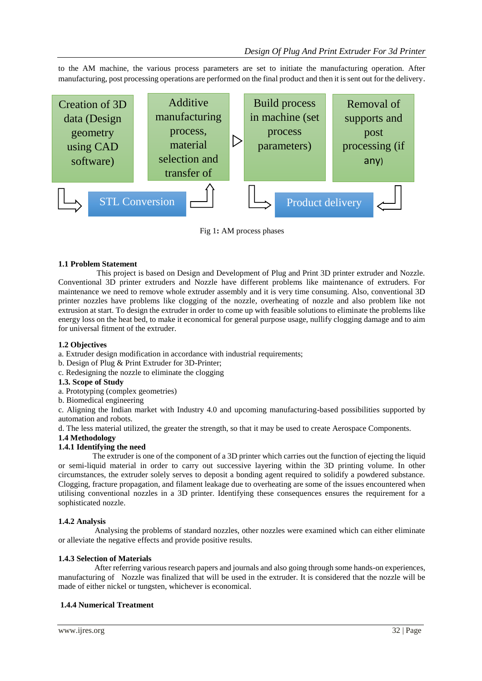to the AM machine, the various process parameters are set to initiate the manufacturing operation. After manufacturing, post processing operations are performed on the final product and then it is sent out for the delivery.



Fig 1**:** AM process phases

#### **1.1 Problem Statement**

 This project is based on Design and Development of Plug and Print 3D printer extruder and Nozzle. Conventional 3D printer extruders and Nozzle have different problems like maintenance of extruders. For maintenance we need to remove whole extruder assembly and it is very time consuming. Also, conventional 3D printer nozzles have problems like clogging of the nozzle, overheating of nozzle and also problem like not extrusion at start. To design the extruder in order to come up with feasible solutions to eliminate the problems like energy loss on the heat bed, to make it economical for general purpose usage, nullify clogging damage and to aim for universal fitment of the extruder.

#### **1.2 Objectives**

a. Extruder design modification in accordance with industrial requirements;

- b. Design of Plug & Print Extruder for 3D-Printer;
- c. Redesigning the nozzle to eliminate the clogging

#### **1.3. Scope of Study**

- a. Prototyping (complex geometries)
- b. Biomedical engineering

c. Aligning the Indian market with Industry 4.0 and upcoming manufacturing-based possibilities supported by automation and robots.

d. The less material utilized, the greater the strength, so that it may be used to create Aerospace Components.

#### **1.4 Methodology**

#### **1.4.1 Identifying the need**

 The extruder is one of the component of a 3D printer which carries out the function of ejecting the liquid or semi-liquid material in order to carry out successive layering within the 3D printing volume. In other circumstances, the extruder solely serves to deposit a bonding agent required to solidify a powdered substance. Clogging, fracture propagation, and filament leakage due to overheating are some of the issues encountered when utilising conventional nozzles in a 3D printer. Identifying these consequences ensures the requirement for a sophisticated nozzle.

#### **1.4.2 Analysis**

Analysing the problems of standard nozzles, other nozzles were examined which can either eliminate or alleviate the negative effects and provide positive results.

#### **1.4.3 Selection of Materials**

 After referring various research papers and journals and also going through some hands-on experiences, manufacturing of Nozzle was finalized that will be used in the extruder. It is considered that the nozzle will be made of either nickel or tungsten, whichever is economical.

#### **1.4.4 Numerical Treatment**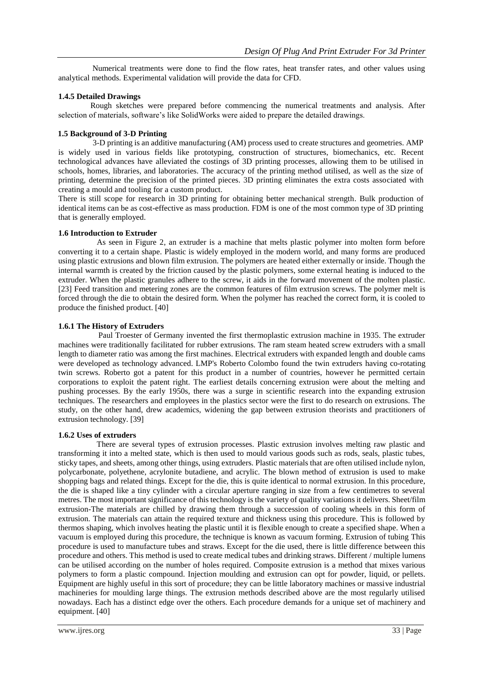Numerical treatments were done to find the flow rates, heat transfer rates, and other values using analytical methods. Experimental validation will provide the data for CFD.

#### **1.4.5 Detailed Drawings**

Rough sketches were prepared before commencing the numerical treatments and analysis. After selection of materials, software's like SolidWorks were aided to prepare the detailed drawings.

#### **1.5 Background of 3-D Printing**

 3-D printing is an additive manufacturing (AM) process used to create structures and geometries. AMP is widely used in various fields like prototyping, construction of structures, biomechanics, etc. Recent technological advances have alleviated the costings of 3D printing processes, allowing them to be utilised in schools, homes, libraries, and laboratories. The accuracy of the printing method utilised, as well as the size of printing, determine the precision of the printed pieces. 3D printing eliminates the extra costs associated with creating a mould and tooling for a custom product.

There is still scope for research in 3D printing for obtaining better mechanical strength. Bulk production of identical items can be as cost-effective as mass production. FDM is one of the most common type of 3D printing that is generally employed.

#### **1.6 Introduction to Extruder**

 As seen in Figure 2, an extruder is a machine that melts plastic polymer into molten form before converting it to a certain shape. Plastic is widely employed in the modern world, and many forms are produced using plastic extrusions and blown film extrusion. The polymers are heated either externally or inside. Though the internal warmth is created by the friction caused by the plastic polymers, some external heating is induced to the extruder. When the plastic granules adhere to the screw, it aids in the forward movement of the molten plastic. [23] Feed transition and metering zones are the common features of film extrusion screws. The polymer melt is forced through the die to obtain the desired form. When the polymer has reached the correct form, it is cooled to produce the finished product. [40]

#### **1.6.1 The History of Extruders**

 Paul Troester of Germany invented the first thermoplastic extrusion machine in 1935. The extruder machines were traditionally facilitated for rubber extrusions. The ram steam heated screw extruders with a small length to diameter ratio was among the first machines. Electrical extruders with expanded length and double cams were developed as technology advanced. LMP's Roberto Colombo found the twin extruders having co-rotating twin screws. Roberto got a patent for this product in a number of countries, however he permitted certain corporations to exploit the patent right. The earliest details concerning extrusion were about the melting and pushing processes. By the early 1950s, there was a surge in scientific research into the expanding extrusion techniques. The researchers and employees in the plastics sector were the first to do research on extrusions. The study, on the other hand, drew academics, widening the gap between extrusion theorists and practitioners of extrusion technology. [39]

#### **1.6.2 Uses of extruders**

 There are several types of extrusion processes. Plastic extrusion involves melting raw plastic and transforming it into a melted state, which is then used to mould various goods such as rods, seals, plastic tubes, sticky tapes, and sheets, among other things, using extruders. Plastic materials that are often utilised include nylon, polycarbonate, polyethene, acrylonite butadiene, and acrylic. The blown method of extrusion is used to make shopping bags and related things. Except for the die, this is quite identical to normal extrusion. In this procedure, the die is shaped like a tiny cylinder with a circular aperture ranging in size from a few centimetres to several metres. The most important significance of this technology is the variety of quality variations it delivers. Sheet/film extrusion-The materials are chilled by drawing them through a succession of cooling wheels in this form of extrusion. The materials can attain the required texture and thickness using this procedure. This is followed by thermos shaping, which involves heating the plastic until it is flexible enough to create a specified shape. When a vacuum is employed during this procedure, the technique is known as vacuum forming. Extrusion of tubing This procedure is used to manufacture tubes and straws. Except for the die used, there is little difference between this procedure and others. This method is used to create medical tubes and drinking straws. Different / multiple lumens can be utilised according on the number of holes required. Composite extrusion is a method that mixes various polymers to form a plastic compound. Injection moulding and extrusion can opt for powder, liquid, or pellets. Equipment are highly useful in this sort of procedure; they can be little laboratory machines or massive industrial machineries for moulding large things. The extrusion methods described above are the most regularly utilised nowadays. Each has a distinct edge over the others. Each procedure demands for a unique set of machinery and equipment. [40]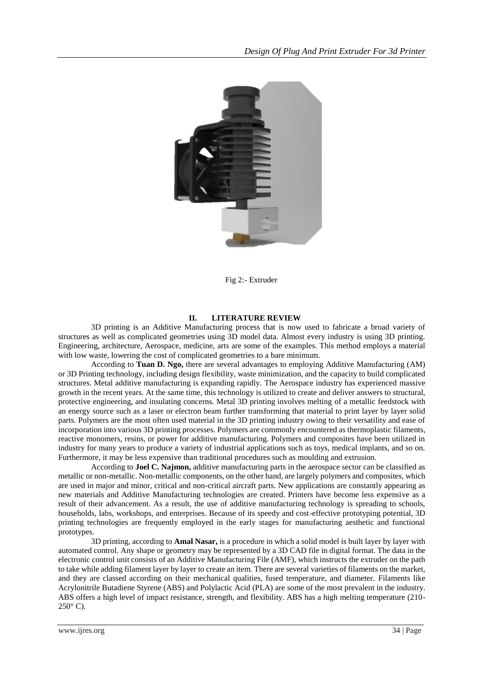

Fig 2:- Extruder

## **II. LITERATURE REVIEW**

3D printing is an Additive Manufacturing process that is now used to fabricate a broad variety of structures as well as complicated geometries using 3D model data. Almost every industry is using 3D printing. Engineering, architecture, Aerospace, medicine, arts are some of the examples. This method employs a material with low waste, lowering the cost of complicated geometries to a bare minimum.

According to **Tuan D. Ngo,** there are several advantages to employing Additive Manufacturing (AM) or 3D Printing technology, including design flexibility, waste minimization, and the capacity to build complicated structures. Metal additive manufacturing is expanding rapidly. The Aerospace industry has experienced massive growth in the recent years. At the same time, this technology is utilized to create and deliver answers to structural, protective engineering, and insulating concerns. Metal 3D printing involves melting of a metallic feedstock with an energy source such as a laser or electron beam further transforming that material to print layer by layer solid parts. Polymers are the most often used material in the 3D printing industry owing to their versatility and ease of incorporation into various 3D printing processes. Polymers are commonly encountered as thermoplastic filaments, reactive monomers, resins, or power for additive manufacturing. Polymers and composites have been utilized in industry for many years to produce a variety of industrial applications such as toys, medical implants, and so on. Furthermore, it may be less expensive than traditional procedures such as moulding and extrusion.

According to **Joel C. Najmon,** additive manufacturing parts in the aerospace sector can be classified as metallic or non-metallic. Non-metallic components, on the other hand, are largely polymers and composites, which are used in major and minor, critical and non-critical aircraft parts. New applications are constantly appearing as new materials and Additive Manufacturing technologies are created. Printers have become less expensive as a result of their advancement. As a result, the use of additive manufacturing technology is spreading to schools, households, labs, workshops, and enterprises. Because of its speedy and cost-effective prototyping potential, 3D printing technologies are frequently employed in the early stages for manufacturing aesthetic and functional prototypes.

3D printing, according to **Amal Nasar,** is a procedure in which a solid model is built layer by layer with automated control. Any shape or geometry may be represented by a 3D CAD file in digital format. The data in the electronic control unit consists of an Additive Manufacturing File (AMF), which instructs the extruder on the path to take while adding filament layer by layer to create an item. There are several varieties of filaments on the market, and they are classed according on their mechanical qualities, fused temperature, and diameter. Filaments like Acrylonitrile Butadiene Styrene (ABS) and Polylactic Acid (PLA) are some of the most prevalent in the industry. ABS offers a high level of impact resistance, strength, and flexibility. ABS has a high melting temperature (210-  $250^\circ$  C).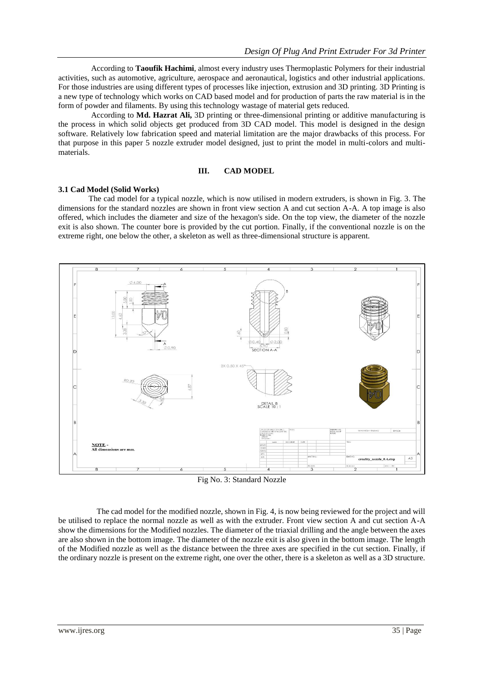According to **Taoufik Hachimi**, almost every industry uses Thermoplastic Polymers for their industrial activities, such as automotive, agriculture, aerospace and aeronautical, logistics and other industrial applications. For those industries are using different types of processes like injection, extrusion and 3D printing. 3D Printing is a new type of technology which works on CAD based model and for production of parts the raw material is in the form of powder and filaments. By using this technology wastage of material gets reduced.

According to **Md. Hazrat Ali,** 3D printing or three-dimensional printing or additive manufacturing is the process in which solid objects get produced from 3D CAD model. This model is designed in the design software. Relatively low fabrication speed and material limitation are the major drawbacks of this process. For that purpose in this paper 5 nozzle extruder model designed, just to print the model in multi-colors and multimaterials.

#### **III. CAD MODEL**

#### **3.1 Cad Model (Solid Works)**

 The cad model for a typical nozzle, which is now utilised in modern extruders, is shown in Fig. 3. The dimensions for the standard nozzles are shown in front view section A and cut section A-A. A top image is also offered, which includes the diameter and size of the hexagon's side. On the top view, the diameter of the nozzle exit is also shown. The counter bore is provided by the cut portion. Finally, if the conventional nozzle is on the extreme right, one below the other, a skeleton as well as three-dimensional structure is apparent.



Fig No. 3: Standard Nozzle

 The cad model for the modified nozzle, shown in Fig. 4, is now being reviewed for the project and will be utilised to replace the normal nozzle as well as with the extruder. Front view section A and cut section A-A show the dimensions for the Modified nozzles. The diameter of the triaxial drilling and the angle between the axes are also shown in the bottom image. The diameter of the nozzle exit is also given in the bottom image. The length of the Modified nozzle as well as the distance between the three axes are specified in the cut section. Finally, if the ordinary nozzle is present on the extreme right, one over the other, there is a skeleton as well as a 3D structure.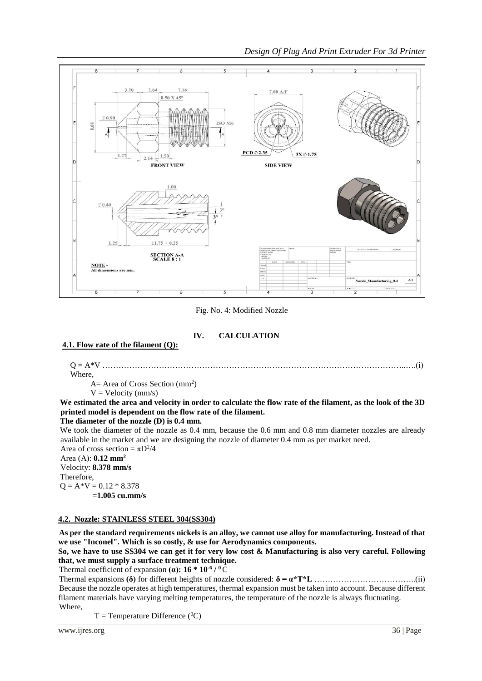

*Design Of Plug And Print Extruder For 3d Printer*

Fig. No. 4: Modified Nozzle

## **IV. CALCULATION**

## **4.1. Flow rate of the filament (Q):**

Q = A\*V …………………………………………………………………………………………………..….(i)

Where,

 $A=$  Area of Cross Section (mm<sup>2</sup>)

 $V = Velocity (mm/s)$ 

**We estimated the area and velocity in order to calculate the flow rate of the filament, as the look of the 3D printed model is dependent on the flow rate of the filament.**

**The diameter of the nozzle (D) is 0.4 mm.**

We took the diameter of the nozzle as 0.4 mm, because the 0.6 mm and 0.8 mm diameter nozzles are already available in the market and we are designing the nozzle of diameter 0.4 mm as per market need.

Area of cross section =  $\pi D^2/4$ Area (A): **0.12 mm<sup>2</sup>** Velocity: **8.378 mm/s** Therefore,  $Q = A*V = 0.12 * 8.378$ =**1.005 cu.mm/s** 

## **4.2. Nozzle: STAINLESS STEEL 304(SS304)**

 **As per the standard requirements nickels is an alloy, we cannot use alloy for manufacturing. Instead of that we use "Inconel". Which is so costly, & use for Aerodynamics components.**

**So, we have to use SS304 we can get it for very low cost & Manufacturing is also very careful. Following that, we must supply a surface treatment technique.**

 **Thermal coefficient of expansion**  $(\alpha)$ **: 16**  $*$  **10<sup>-6</sup> / <sup>0</sup>C** 

 Thermal expansions **(δ)** for different heights of nozzle considered: **δ = α\*T\*L** ………………………………..(ii) Because the nozzle operates at high temperatures, thermal expansion must be taken into account. Because different filament materials have varying melting temperatures, the temperature of the nozzle is always fluctuating. Where,

 $T =$ Temperature Difference (<sup>0</sup>C)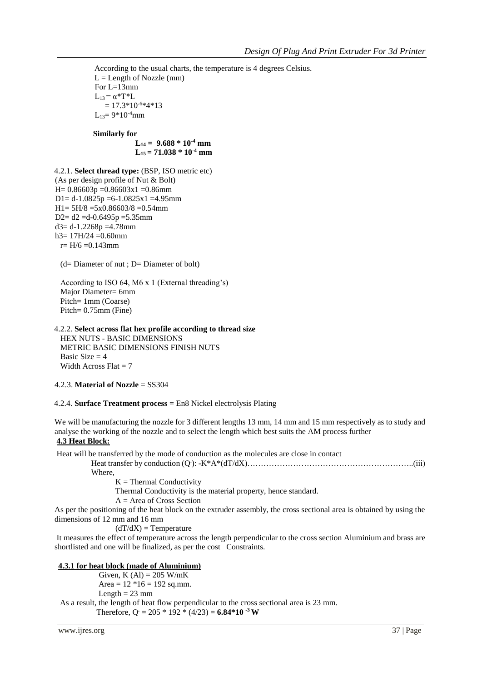According to the usual charts, the temperature is 4 degrees Celsius.  $L =$ Length of Nozzle (mm) For  $L=13$ mm  $L_{13} = \alpha^*T^*L$  $= 17.3*10<sup>-6</sup>*4*13$  $L_{13}=9*10^{-4}$ mm

 **Similarly for**

 $L_{14} = 9.688 * 10^{-4}$  mm  $L_{15} = 71.038 * 10^{-4}$  mm

4.2.1. **Select thread type:** (BSP, ISO metric etc) (As per design profile of Nut & Bolt)  $H= 0.86603p = 0.86603x1 = 0.86mm$ D1=  $d-1.0825p = 6-1.0825x1 = 4.95$ mm  $H1 = 5H/8 = 5x0.86603/8 = 0.54$ mm D2=  $d2$  =d-0.6495p =5.35mm  $d3 = d-1.2268p = 4.78$ mm h3= 17H/24 =0.60mm  $r= H/6 = 0.143$ mm

(d= Diameter of nut ; D= Diameter of bolt)

 According to ISO 64, M6 x 1 (External threading's) Major Diameter= 6mm Pitch= 1mm (Coarse) Pitch= 0.75mm (Fine)

## 4.2.2. **Select across flat hex profile according to thread size**

 HEX NUTS - BASIC DIMENSIONS METRIC BASIC DIMENSIONS FINISH NUTS Basic Size  $= 4$ Width Across  $Flat = 7$ 

## 4.2.3. **Material of Nozzle** = SS304

#### 4.2.4. **Surface Treatment process** = En8 Nickel electrolysis Plating

We will be manufacturing the nozzle for 3 different lengths 13 mm, 14 mm and 15 mm respectively as to study and analyse the working of the nozzle and to select the length which best suits the AM process further **4.3 Heat Block:** 

Heat will be transferred by the mode of conduction as the molecules are close in contact

Heat transfer by conduction (Q**.** ): -K\*A\*(dT/dX)……………………………………………………..(iii) Where,

 $K =$  Thermal Conductivity

Thermal Conductivity is the material property, hence standard.

A = Area of Cross Section

As per the positioning of the heat block on the extruder assembly, the cross sectional area is obtained by using the dimensions of 12 mm and 16 mm

 $(dT/dX)$  = Temperature

It measures the effect of temperature across the length perpendicular to the cross section Aluminium and brass are shortlisted and one will be finalized, as per the cost Constraints.

## **4.3.1 for heat block (made of Aluminium)**

Given, K  $(Al) = 205$  W/mK Area =  $12 * 16 = 192$  sq.mm. Length  $= 23$  mm As a result, the length of heat flow perpendicular to the cross sectional area is 23 mm. Therefore,  $Q = 205 * 192 * (4/23) = 6.84 * 10^{-3}$  W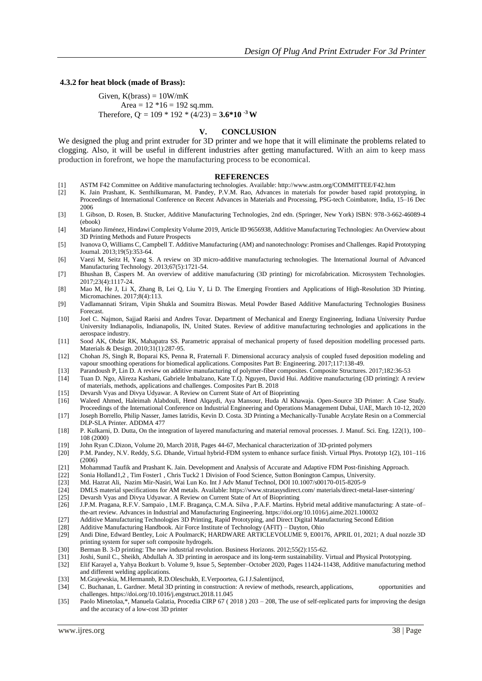#### **4.3.2 for heat block (made of Brass):**

Given,  $K(hrass) = 10W/mK$ Area =  $12 * 16 = 192$  sq.mm. Therefore,  $Q = 109 * 192 * (4/23) = 3.6 * 10^{-3}$  W

#### **V. CONCLUSION**

We designed the plug and print extruder for 3D printer and we hope that it will eliminate the problems related to clogging. Also, it will be useful in different industries after getting manufactured. With an aim to keep mass production in forefront, we hope the manufacturing process to be economical.

#### **REFERENCES**

- [1] ASTM F42 Committee on Additive manufacturing technologies. Available: http://www.astm.org/COMMITTEE/F42.htm
- [2] K. Jain Prashant, K. Senthilkumaran, M. Pandey, P.V.M. Rao, Advances in materials for powder based rapid prototyping, in Proceedings of International Conference on Recent Advances in Materials and Processing, PSG-tech Coimbatore, India, 15–16 Dec 2006
- [3] I. Gibson, D. Rosen, B. Stucker, Additive Manufacturing Technologies, 2nd edn. (Springer, New York) ISBN: 978-3-662-46089-4 (ebook)
- [4] Mariano Jiménez, Hindawi Complexity Volume 2019, Article ID 9656938, Additive Manufacturing Technologies: An Overview about 3D Printing Methods and Future Prospects
- [5] Ivanova O, Williams C, Campbell T. Additive Manufacturing (AM) and nanotechnology: Promises and Challenges. Rapid Prototyping Journal. 2013;19(5):353-64.
- [6] Vaezi M, Seitz H, Yang S. A review on 3D micro-additive manufacturing technologies. The International Journal of Advanced Manufacturing Technology. 2013;67(5):1721-54.
- [7] Bhushan B, Caspers M. An overview of additive manufacturing (3D printing) for microfabrication. Microsystem Technologies. 2017;23(4):1117-24.
- [8] Mao M, He J, Li X, Zhang B, Lei Q, Liu Y, Li D. The Emerging Frontiers and Applications of High-Resolution 3D Printing. Micromachines. 2017;8(4):113.
- [9] Vadlamannati Sriram, Vipin Shukla and Soumitra Biswas. Metal Powder Based Additive Manufacturing Technologies Business Forecast.
- [10] Joel C. Najmon, Sajjad Raeisi and Andres Tovar. Department of Mechanical and Energy Engineering, Indiana University Purdue University Indianapolis, Indianapolis, IN, United States. Review of additive manufacturing technologies and applications in the aerospace industry.
- [11] Sood AK, Ohdar RK, Mahapatra SS. Parametric appraisal of mechanical property of fused deposition modelling processed parts. Materials & Design. 2010;31(1):287-95.
- [12] Chohan JS, Singh R, Boparai KS, Penna R, Fraternali F. Dimensional accuracy analysis of coupled fused deposition modeling and vapour smoothing operations for biomedical applications. Composites Part B: Engineering. 2017;117:138-49.
- [13] Parandoush P, Lin D. A review on additive manufacturing of polymer-fiber composites. Composite Structures. 2017;182:36-53
- [14] Tuan D. Ngo, Alireza Kashani, Gabriele Imbalzano, Kate T.Q. Nguyen, David Hui. Additive manufacturing (3D printing): A review of materials, methods, applications and challenges. Composites Part B. 2018
- [15] Devarsh Vyas and Divya Udyawar. A Review on Current State of Art of Bioprinting
- [16] Waleed Ahmed, Haleimah Alabdouli, Hend Alqaydi, Aya Mansour, Huda Al Khawaja. Open-Source 3D Printer: A Case Study. Proceedings of the International Conference on Industrial Engineering and Operations Management Dubai, UAE, March 10-12, 2020
- [17] Joseph Borrello, Philip Nasser, James Iatridis, Kevin D. Costa. 3D Printing a Mechanically-Tunable Acrylate Resin on a Commercial DLP-SLA Printer. ADDMA 477
- [18] P. Kulkarni, D. Dutta, On the integration of layered manufacturing and material removal processes. J. Manuf. Sci. Eng. 122(1), 100– 108 (2000)
- [19] John Ryan C.Dizon, Volume 20, March 2018, Pages 44-67, Mechanical characterization of 3D-printed polymers
- [20] P.M. Pandey, N.V. Reddy, S.G. Dhande, Virtual hybrid-FDM system to enhance surface finish. Virtual Phys. Prototyp 1(2), 101–116 (2006)
- [21] Mohammad Taufik and Prashant K. Jain. Development and Analysis of Accurate and Adaptive FDM Post-finishing Approach.<br>[22] Sonia Holland1.2. Tim Foster1. Chris Tuck2 1 Division of Food Science. Sutton Bonington Campus.
- [22] Sonia Holland1,2 , Tim Foster1 , Chris Tuck2 1 Division of Food Science, Sutton Bonington Campus, University.
- [23] Md. Hazrat Ali, Nazim Mir-Nasiri, Wai Lun Ko. Int J Adv Manuf Technol, DOI 10.1007/s00170-015-8205-9
- [24] DMLS material specifications for AM metals. Available: https://www.stratasysdirect.com/ materials/direct-metal-laser-sintering/
- [25] Devarsh Vyas and Divya Udyawar. A Review on Current State of Art of Bioprinting
- [26] J.P.M. Pragana, R.F.V. Sampaio , I.M.F. Bragança, C.M.A. Silva , P.A.F. Martins. Hybrid metal additive manufacturing: A state–of– the-art review. Advances in Industrial and Manufacturing Engineering. https://doi.org/10.1016/j.aime.2021.100032
- [27] Additive Manufacturing Technologies 3D Printing, Rapid Prototyping, and Direct Digital Manufacturing Second Edition<br>[28] Additive Manufacturing Handbook. Air Force Institute of Technology (AFIT) Dayton, Ohio
- 
- [28] Additive Manufacturing Handbook. Air Force Institute of Technology (AFIT) Dayton, Ohio Andi Dine, Edward Bentley, Loic A PoulmarcK; HARDWARE ARTICLEVOLUME 9, E00176, APRIL 01, 2021; A dual nozzle 3D printing system for super soft composite hydrogels.
- [30] Berman B. 3-D printing: The new industrial revolution. Business Horizons. 2012;55(2):155-62.
- [31] Joshi, Sunil C., Sheikh, Abdullah A. 3D printing in aerospace and its long-term sustainability. Virtual and Physical Prototyping.
- [32] Elif Karayel a, Yahya Bozkurt b. Volume 9, Issue 5, September–October 2020, Pages 11424-11438, Additive manufacturing method and different welding applications.
- [33] M.Grajewskia, M.Hermannb, R.D.Oleschukb, E.Verpoortea, G.I J.Salentijncd,
- [34] C. Buchanan, L. Gardner. Metal 3D printing in construction: A review of methods, research, applications, opportunities and challenges. https://doi.org/10.1016/j.engstruct.2018.11.045
- [35] Paolo Minetolaa,\*, Manuela Galatia, Procedia CIRP 67 (2018) 203 208, The use of self-replicated parts for improving the design and the accuracy of a low-cost 3D printer